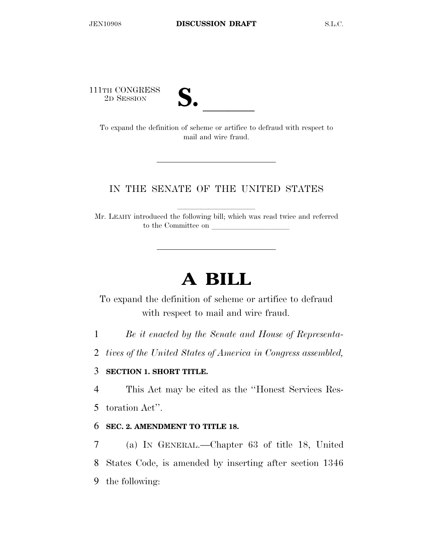111TH CONGRESS



TH CONGRESS<br>
2D SESSION<br>
To expand the definition of scheme or artifice to defraud with respect to mail and wire fraud.

## IN THE SENATE OF THE UNITED STATES

Mr. LEAHY introduced the following bill; which was read twice and referred to the Committee on

# **A BILL**

To expand the definition of scheme or artifice to defraud with respect to mail and wire fraud.

1 *Be it enacted by the Senate and House of Representa-*

2 *tives of the United States of America in Congress assembled,* 

## 3 **SECTION 1. SHORT TITLE.**

4 This Act may be cited as the ''Honest Services Res-

5 toration Act''.

#### 6 **SEC. 2. AMENDMENT TO TITLE 18.**

7 (a) IN GENERAL.—Chapter 63 of title 18, United 8 States Code, is amended by inserting after section 1346 9 the following: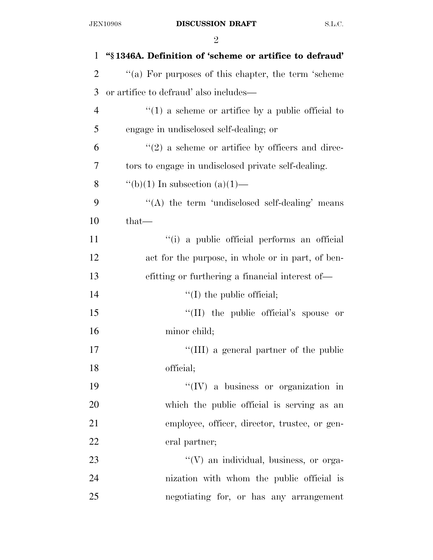| $\mathbf{1}$   | "§1346A. Definition of 'scheme or artifice to defraud' |
|----------------|--------------------------------------------------------|
| $\overline{2}$ | "(a) For purposes of this chapter, the term 'scheme    |
| 3              | or artifice to defraud' also includes—                 |
| 4              | $\lq(1)$ a scheme or artifice by a public official to  |
| 5              | engage in undisclosed self-dealing; or                 |
| 6              | $\lq(2)$ a scheme or artifice by officers and direc-   |
| 7              | tors to engage in undisclosed private self-dealing.    |
| 8              | "(b)(1) In subsection (a)(1)—                          |
| 9              | "(A) the term 'undisclosed self-dealing' means         |
| 10             | $that-$                                                |
| 11             | "(i) a public official performs an official            |
| 12             | act for the purpose, in whole or in part, of ben-      |
| 13             | efitting or furthering a financial interest of—        |
| 14             | $\lq\lq$ (I) the public official;                      |
| 15             | $\lq\lq$ (II) the public official's spouse or          |
| 16             | minor child;                                           |
| 17             | "(III) a general partner of the public                 |
| 18             | official;                                              |
| 19             | $\lq\lq$ (IV) a business or organization in            |
| 20             | which the public official is serving as an             |
| 21             | employee, officer, director, trustee, or gen-          |
| 22             | eral partner;                                          |
| 23             | $\lq\lq(V)$ an individual, business, or orga-          |
| 24             | nization with whom the public official is              |
| 25             | negotiating for, or has any arrangement                |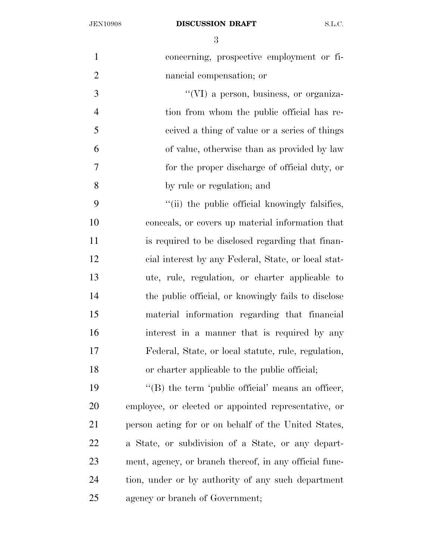#### JEN10908 **DISCUSSION DRAFT** S.L.C.

| $\mathbf{1}$   | concerning, prospective employment or fi-              |
|----------------|--------------------------------------------------------|
| $\overline{2}$ | nancial compensation; or                               |
| 3              | "(VI) a person, business, or organiza-                 |
| $\overline{4}$ | tion from whom the public official has re-             |
| 5              | ceived a thing of value or a series of things          |
| 6              | of value, otherwise than as provided by law            |
| $\tau$         | for the proper discharge of official duty, or          |
| 8              | by rule or regulation; and                             |
| 9              | "(ii) the public official knowingly falsifies,         |
| 10             | conceals, or covers up material information that       |
| 11             | is required to be disclosed regarding that finan-      |
| 12             | cial interest by any Federal, State, or local stat-    |
| 13             | ute, rule, regulation, or charter applicable to        |
| 14             | the public official, or knowingly fails to disclose    |
| 15             | material information regarding that financial          |
| 16             | interest in a manner that is required by any           |
| 17             | Federal, State, or local statute, rule, regulation,    |
| 18             | or charter applicable to the public official;          |
| 19             | $\lq\lq$ the term 'public official' means an officer,  |
| 20             | employee, or elected or appointed representative, or   |
| 21             | person acting for or on behalf of the United States,   |
| 22             | a State, or subdivision of a State, or any depart-     |
| 23             | ment, agency, or branch thereof, in any official func- |
| 24             | tion, under or by authority of any such department     |
| 25             | agency or branch of Government;                        |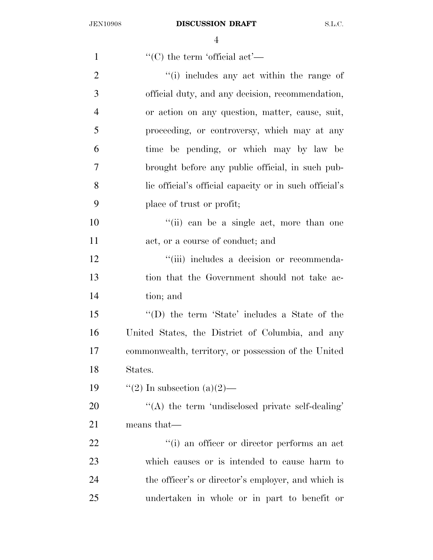| $\mathbf{1}$   | $\lq\lq$ (C) the term 'official act'—                  |
|----------------|--------------------------------------------------------|
| $\overline{2}$ | "(i) includes any act within the range of              |
| 3              | official duty, and any decision, recommendation,       |
| $\overline{4}$ | or action on any question, matter, cause, suit,        |
| 5              | proceeding, or controversy, which may at any           |
| 6              | time be pending, or which may by law be                |
| 7              | brought before any public official, in such pub-       |
| 8              | lic official's official capacity or in such official's |
| 9              | place of trust or profit;                              |
| 10             | "(ii) can be a single act, more than one               |
| 11             | act, or a course of conduct; and                       |
| 12             | "(iii) includes a decision or recommenda-              |
| 13             | tion that the Government should not take ac-           |
| 14             | tion; and                                              |
| 15             | "(D) the term 'State' includes a State of the          |
| 16             | United States, the District of Columbia, and any       |
| 17             | commonwealth, territory, or possession of the United   |
| 18             | States.                                                |
| 19             | "(2) In subsection (a)(2)—                             |
| 20             | "(A) the term 'undisclosed private self-dealing'       |
| 21             | means that—                                            |
| 22             | "(i) an officer or director performs an act            |
| 23             | which causes or is intended to cause harm to           |
| 24             | the officer's or director's employer, and which is     |
| 25             | undertaken in whole or in part to benefit or           |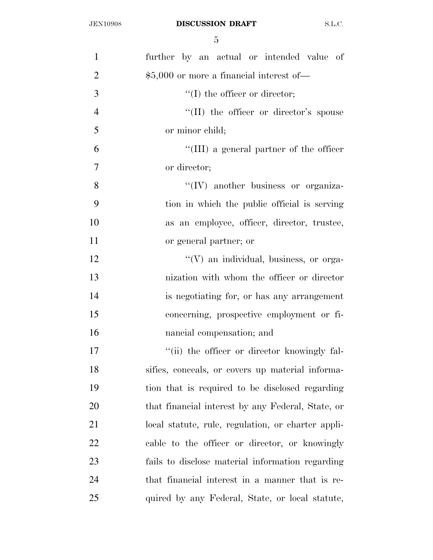| $\mathbf{1}$   | further by an actual or intended value of          |
|----------------|----------------------------------------------------|
| $\overline{2}$ | $$5,000$ or more a financial interest of —         |
| 3              | $\lq\lq$ the officer or director;                  |
| $\overline{4}$ | "(II) the officer or director's spouse             |
| 5              | or minor child;                                    |
| 6              | "(III) a general partner of the officer            |
| 7              | or director;                                       |
| 8              | $\lq\lq$ (IV) another business or organiza-        |
| 9              | tion in which the public official is serving       |
| 10             | as an employee, officer, director, trustee,        |
| 11             | or general partner; or                             |
| 12             | $\lq\lq(V)$ an individual, business, or orga-      |
| 13             | nization with whom the officer or director         |
| 14             | is negotiating for, or has any arrangement         |
| 15             | concerning, prospective employment or fi-          |
| 16             | nancial compensation; and                          |
| 17             | "(ii) the officer or director knowingly fal-       |
| 18             | sifies, conceals, or covers up material informa-   |
| 19             | tion that is required to be disclosed regarding    |
| 20             | that financial interest by any Federal, State, or  |
| 21             | local statute, rule, regulation, or charter appli- |
| 22             | cable to the officer or director, or knowingly     |
| 23             | fails to disclose material information regarding   |
| 24             | that financial interest in a manner that is re-    |
| 25             | quired by any Federal, State, or local statute,    |